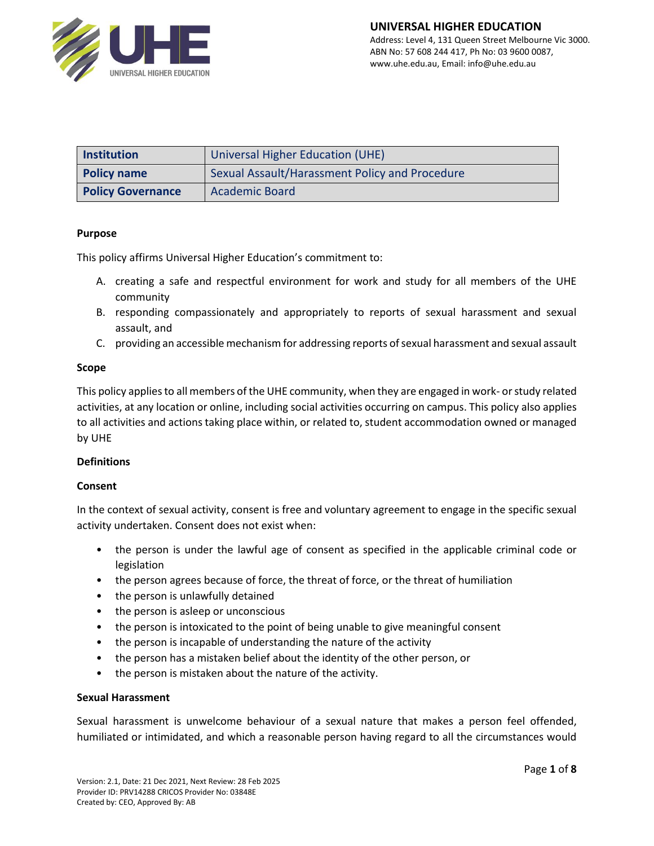

| <b>Institution</b>                                                   | Universal Higher Education (UHE) |  |
|----------------------------------------------------------------------|----------------------------------|--|
| Sexual Assault/Harassment Policy and Procedure<br><b>Policy name</b> |                                  |  |
| <b>Policy Governance</b>                                             | <b>Academic Board</b>            |  |

## **Purpose**

This policy affirms Universal Higher Education's commitment to:

- A. creating a safe and respectful environment for work and study for all members of the UHE community
- B. responding compassionately and appropriately to reports of sexual harassment and sexual assault, and
- C. providing an accessible mechanism for addressing reports of sexual harassment and sexual assault

## **Scope**

This policy applies to all members of the UHE community, when they are engaged in work- or study related activities, at any location or online, including social activities occurring on campus. This policy also applies to all activities and actions taking place within, or related to, student accommodation owned or managed by UHE

#### **Definitions**

#### **Consent**

In the context of sexual activity, consent is free and voluntary agreement to engage in the specific sexual activity undertaken. Consent does not exist when:

- the person is under the lawful age of consent as specified in the applicable criminal code or legislation
- the person agrees because of force, the threat of force, or the threat of humiliation
- the person is unlawfully detained
- the person is asleep or unconscious
- the person is intoxicated to the point of being unable to give meaningful consent
- the person is incapable of understanding the nature of the activity
- the person has a mistaken belief about the identity of the other person, or
- the person is mistaken about the nature of the activity.

#### **Sexual Harassment**

Sexual harassment is unwelcome behaviour of a sexual nature that makes a person feel offended, humiliated or intimidated, and which a reasonable person having regard to all the circumstances would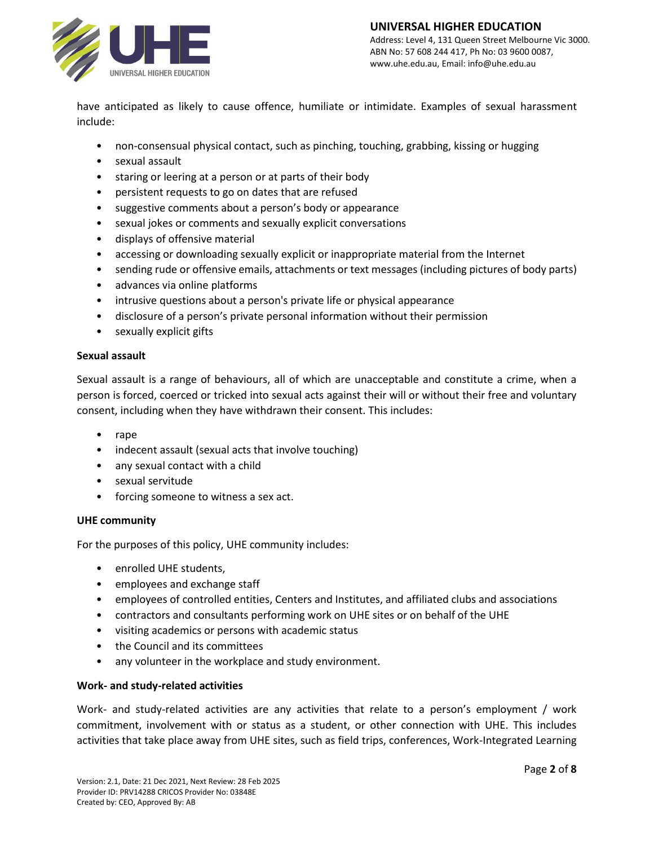

have anticipated as likely to cause offence, humiliate or intimidate. Examples of sexual harassment include:

- non-consensual physical contact, such as pinching, touching, grabbing, kissing or hugging
- sexual assault
- staring or leering at a person or at parts of their body
- persistent requests to go on dates that are refused
- suggestive comments about a person's body or appearance
- sexual jokes or comments and sexually explicit conversations
- displays of offensive material
- accessing or downloading sexually explicit or inappropriate material from the Internet
- sending rude or offensive emails, attachments or text messages (including pictures of body parts)
- advances via online platforms
- intrusive questions about a person's private life or physical appearance
- disclosure of a person's private personal information without their permission
- sexually explicit gifts

#### **Sexual assault**

Sexual assault is a range of behaviours, all of which are unacceptable and constitute a crime, when a person is forced, coerced or tricked into sexual acts against their will or without their free and voluntary consent, including when they have withdrawn their consent. This includes:

- rape
- indecent assault (sexual acts that involve touching)
- any sexual contact with a child
- sexual servitude
- forcing someone to witness a sex act.

#### **UHE community**

For the purposes of this policy, UHE community includes:

- enrolled UHE students,
- employees and exchange staff
- employees of controlled entities, Centers and Institutes, and affiliated clubs and associations
- contractors and consultants performing work on UHE sites or on behalf of the UHE
- visiting academics or persons with academic status
- the Council and its committees
- any volunteer in the workplace and study environment.

## **Work- and study-related activities**

Work- and study-related activities are any activities that relate to a person's employment / work commitment, involvement with or status as a student, or other connection with UHE. This includes activities that take place away from UHE sites, such as field trips, conferences, Work-Integrated Learning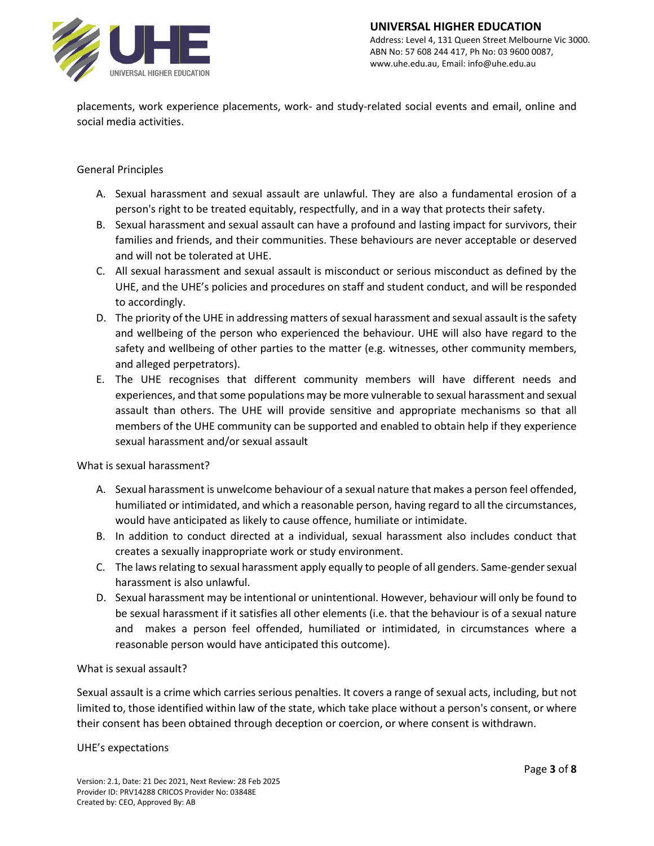

placements, work experience placements, work- and study-related social events and email, online and social media activities.

# General Principles

- A. Sexual harassment and sexual assault are unlawful. They are also a fundamental erosion of a person's right to be treated equitably, respectfully, and in a way that protects their safety.
- B. Sexual harassment and sexual assault can have a profound and lasting impact for survivors, their families and friends, and their communities. These behaviours are never acceptable or deserved and will not be tolerated at UHE.
- C. All sexual harassment and sexual assault is misconduct or serious misconduct as defined by the UHE, and the UHE's policies and procedures on staff and student conduct, and will be responded to accordingly.
- D. The priority of the UHE in addressing matters of sexual harassment and sexual assault is the safety and wellbeing of the person who experienced the behaviour. UHE will also have regard to the safety and wellbeing of other parties to the matter (e.g. witnesses, other community members, and alleged perpetrators).
- E. The UHE recognises that different community members will have different needs and experiences, and that some populations may be more vulnerable to sexual harassment and sexual assault than others. The UHE will provide sensitive and appropriate mechanisms so that all members of the UHE community can be supported and enabled to obtain help if they experience sexual harassment and/or sexual assault

What is sexual harassment?

- A. Sexual harassment is unwelcome behaviour of a sexual nature that makes a person feel offended, humiliated or intimidated, and which a reasonable person, having regard to all the circumstances, would have anticipated as likely to cause offence, humiliate or intimidate.
- B. In addition to conduct directed at a individual, sexual harassment also includes conduct that creates a sexually inappropriate work or study environment.
- C. The laws relating to sexual harassment apply equally to people of all genders. Same-gender sexual harassment is also unlawful.
- D. Sexual harassment may be intentional or unintentional. However, behaviour will only be found to be sexual harassment if it satisfies all other elements (i.e. that the behaviour is of a sexual nature and makes a person feel offended, humiliated or intimidated, in circumstances where a reasonable person would have anticipated this outcome).

## What is sexual assault?

Sexual assault is a crime which carries serious penalties. It covers a range of sexual acts, including, but not limited to, those identified within law of the state, which take place without a person's consent, or where their consent has been obtained through deception or coercion, or where consent is withdrawn.

#### UHE's expectations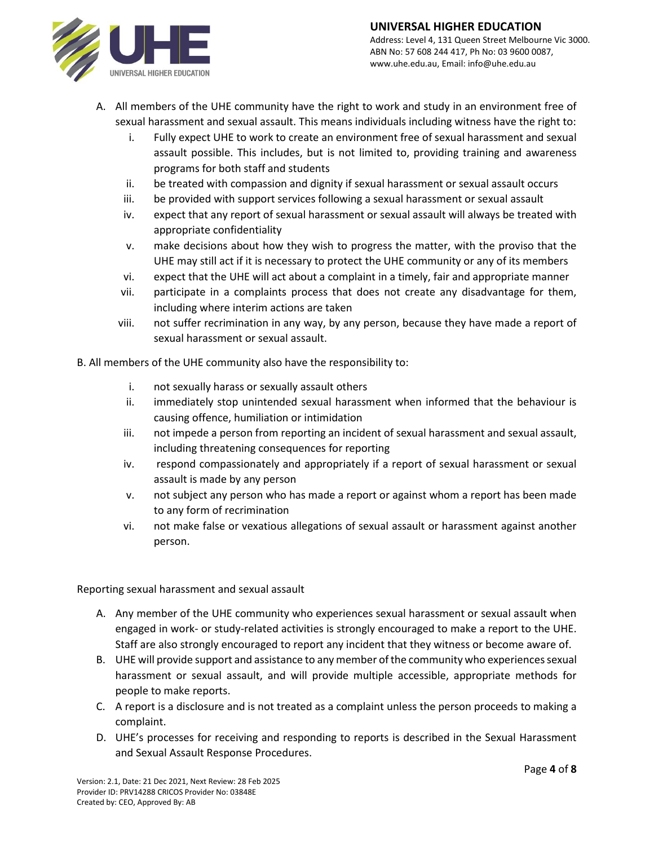# **UNIVERSAL HIGHER EDUCATION**



Address: Level 4, 131 Queen Street Melbourne Vic 3000. ABN No: 57 608 244 417, Ph No: 03 9600 0087, www.uhe.edu.au, Email: info@uhe.edu.au

- A. All members of the UHE community have the right to work and study in an environment free of sexual harassment and sexual assault. This means individuals including witness have the right to:
	- i. Fully expect UHE to work to create an environment free of sexual harassment and sexual assault possible. This includes, but is not limited to, providing training and awareness programs for both staff and students
	- ii. be treated with compassion and dignity if sexual harassment or sexual assault occurs
	- iii. be provided with support services following a sexual harassment or sexual assault
	- iv. expect that any report of sexual harassment or sexual assault will always be treated with appropriate confidentiality
	- v. make decisions about how they wish to progress the matter, with the proviso that the UHE may still act if it is necessary to protect the UHE community or any of its members
	- vi. expect that the UHE will act about a complaint in a timely, fair and appropriate manner
	- vii. participate in a complaints process that does not create any disadvantage for them, including where interim actions are taken
	- viii. not suffer recrimination in any way, by any person, because they have made a report of sexual harassment or sexual assault.
- B. All members of the UHE community also have the responsibility to:
	- i. not sexually harass or sexually assault others
	- ii. immediately stop unintended sexual harassment when informed that the behaviour is causing offence, humiliation or intimidation
	- iii. not impede a person from reporting an incident of sexual harassment and sexual assault, including threatening consequences for reporting
	- iv. respond compassionately and appropriately if a report of sexual harassment or sexual assault is made by any person
	- v. not subject any person who has made a report or against whom a report has been made to any form of recrimination
	- vi. not make false or vexatious allegations of sexual assault or harassment against another person.

Reporting sexual harassment and sexual assault

- A. Any member of the UHE community who experiences sexual harassment or sexual assault when engaged in work- or study-related activities is strongly encouraged to make a report to the UHE. Staff are also strongly encouraged to report any incident that they witness or become aware of.
- B. UHE will provide support and assistance to any member of the community who experiences sexual harassment or sexual assault, and will provide multiple accessible, appropriate methods for people to make reports.
- C. A report is a disclosure and is not treated as a complaint unless the person proceeds to making a complaint.
- D. UHE's processes for receiving and responding to reports is described in the Sexual Harassment and Sexual Assault Response Procedures.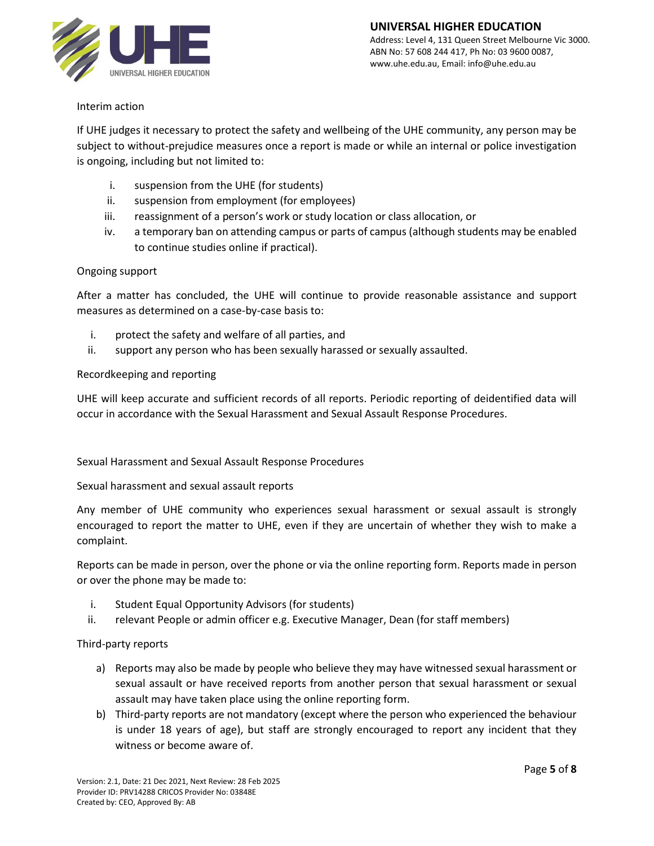

# Interim action

If UHE judges it necessary to protect the safety and wellbeing of the UHE community, any person may be subject to without-prejudice measures once a report is made or while an internal or police investigation is ongoing, including but not limited to:

- i. suspension from the UHE (for students)
- ii. suspension from employment (for employees)
- iii. reassignment of a person's work or study location or class allocation, or
- iv. a temporary ban on attending campus or parts of campus (although students may be enabled to continue studies online if practical).

## Ongoing support

After a matter has concluded, the UHE will continue to provide reasonable assistance and support measures as determined on a case-by-case basis to:

- i. protect the safety and welfare of all parties, and
- ii. support any person who has been sexually harassed or sexually assaulted.

## Recordkeeping and reporting

UHE will keep accurate and sufficient records of all reports. Periodic reporting of deidentified data will occur in accordance with the Sexual Harassment and Sexual Assault Response Procedures.

Sexual Harassment and Sexual Assault Response Procedures

Sexual harassment and sexual assault reports

Any member of UHE community who experiences sexual harassment or sexual assault is strongly encouraged to report the matter to UHE, even if they are uncertain of whether they wish to make a complaint.

Reports can be made in person, over the phone or via the online reporting form. Reports made in person or over the phone may be made to:

- i. Student Equal Opportunity Advisors (for students)
- ii. relevant People or admin officer e.g. Executive Manager, Dean (for staff members)

## Third-party reports

- a) Reports may also be made by people who believe they may have witnessed sexual harassment or sexual assault or have received reports from another person that sexual harassment or sexual assault may have taken place using the online reporting form.
- b) Third-party reports are not mandatory (except where the person who experienced the behaviour is under 18 years of age), but staff are strongly encouraged to report any incident that they witness or become aware of.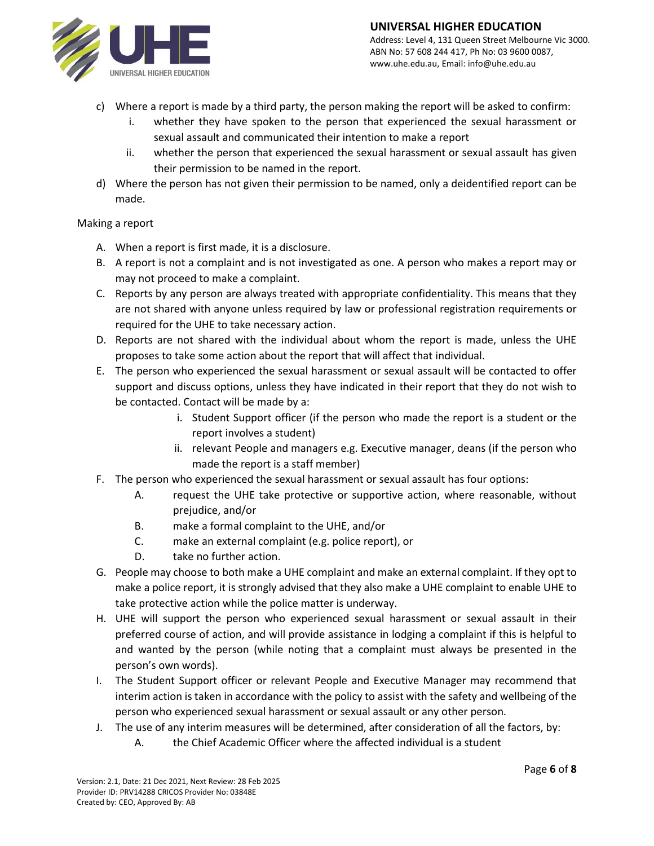

Address: Level 4, 131 Queen Street Melbourne Vic 3000. ABN No: 57 608 244 417, Ph No: 03 9600 0087, www.uhe.edu.au, Email: info@uhe.edu.au

- c) Where a report is made by a third party, the person making the report will be asked to confirm:
	- i. whether they have spoken to the person that experienced the sexual harassment or sexual assault and communicated their intention to make a report
	- ii. whether the person that experienced the sexual harassment or sexual assault has given their permission to be named in the report.
- d) Where the person has not given their permission to be named, only a deidentified report can be made.

## Making a report

- A. When a report is first made, it is a disclosure.
- B. A report is not a complaint and is not investigated as one. A person who makes a report may or may not proceed to make a complaint.
- C. Reports by any person are always treated with appropriate confidentiality. This means that they are not shared with anyone unless required by law or professional registration requirements or required for the UHE to take necessary action.
- D. Reports are not shared with the individual about whom the report is made, unless the UHE proposes to take some action about the report that will affect that individual.
- E. The person who experienced the sexual harassment or sexual assault will be contacted to offer support and discuss options, unless they have indicated in their report that they do not wish to be contacted. Contact will be made by a:
	- i. Student Support officer (if the person who made the report is a student or the report involves a student)
	- ii. relevant People and managers e.g. Executive manager, deans (if the person who made the report is a staff member)
- F. The person who experienced the sexual harassment or sexual assault has four options:
	- A. request the UHE take protective or supportive action, where reasonable, without prejudice, and/or
	- B. make a formal complaint to the UHE, and/or
	- C. make an external complaint (e.g. police report), or
	- D. take no further action.
- G. People may choose to both make a UHE complaint and make an external complaint. If they opt to make a police report, it is strongly advised that they also make a UHE complaint to enable UHE to take protective action while the police matter is underway.
- H. UHE will support the person who experienced sexual harassment or sexual assault in their preferred course of action, and will provide assistance in lodging a complaint if this is helpful to and wanted by the person (while noting that a complaint must always be presented in the person's own words).
- I. The Student Support officer or relevant People and Executive Manager may recommend that interim action is taken in accordance with the policy to assist with the safety and wellbeing of the person who experienced sexual harassment or sexual assault or any other person.
- J. The use of any interim measures will be determined, after consideration of all the factors, by:
	- A. the Chief Academic Officer where the affected individual is a student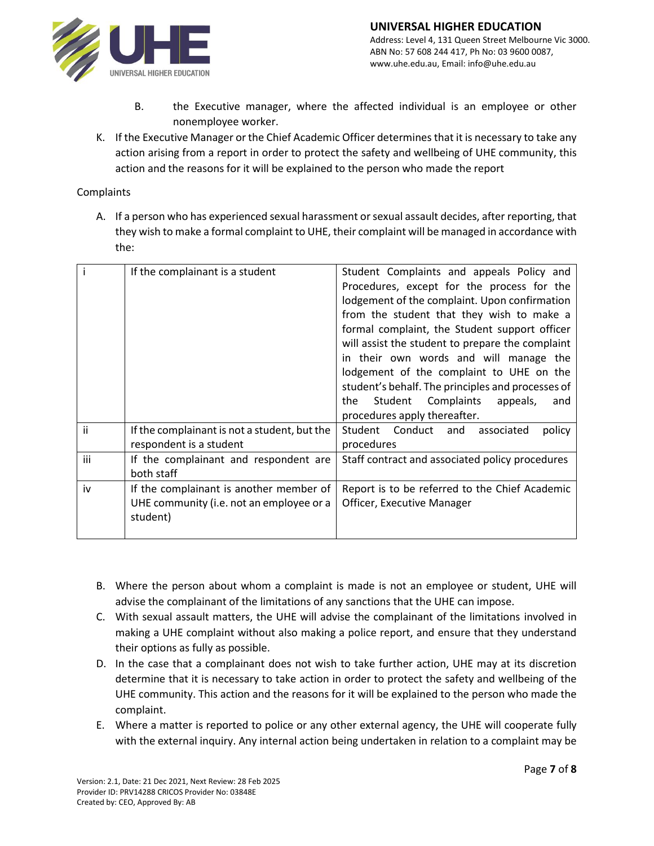

- B. the Executive manager, where the affected individual is an employee or other nonemployee worker.
- K. If the Executive Manager or the Chief Academic Officer determines that it is necessary to take any action arising from a report in order to protect the safety and wellbeing of UHE community, this action and the reasons for it will be explained to the person who made the report

## Complaints

A. If a person who has experienced sexual harassment or sexual assault decides, after reporting, that they wish to make a formal complaint to UHE, their complaint will be managed in accordance with the:

|     | If the complainant is a student              | Student Complaints and appeals Policy and         |
|-----|----------------------------------------------|---------------------------------------------------|
|     |                                              | Procedures, except for the process for the        |
|     |                                              | lodgement of the complaint. Upon confirmation     |
|     |                                              | from the student that they wish to make a         |
|     |                                              | formal complaint, the Student support officer     |
|     |                                              | will assist the student to prepare the complaint  |
|     |                                              | in their own words and will manage the            |
|     |                                              | lodgement of the complaint to UHE on the          |
|     |                                              | student's behalf. The principles and processes of |
|     |                                              | the Student Complaints<br>appeals,<br>and         |
|     |                                              | procedures apply thereafter.                      |
| ii  | If the complainant is not a student, but the | Student Conduct and<br>policy<br>associated       |
|     | respondent is a student                      | procedures                                        |
| iii | If the complainant and respondent are        | Staff contract and associated policy procedures   |
|     | both staff                                   |                                                   |
| iv  | If the complainant is another member of      | Report is to be referred to the Chief Academic    |
|     | UHE community (i.e. not an employee or a     | Officer, Executive Manager                        |
|     | student)                                     |                                                   |
|     |                                              |                                                   |

- B. Where the person about whom a complaint is made is not an employee or student, UHE will advise the complainant of the limitations of any sanctions that the UHE can impose.
- C. With sexual assault matters, the UHE will advise the complainant of the limitations involved in making a UHE complaint without also making a police report, and ensure that they understand their options as fully as possible.
- D. In the case that a complainant does not wish to take further action, UHE may at its discretion determine that it is necessary to take action in order to protect the safety and wellbeing of the UHE community. This action and the reasons for it will be explained to the person who made the complaint.
- E. Where a matter is reported to police or any other external agency, the UHE will cooperate fully with the external inquiry. Any internal action being undertaken in relation to a complaint may be